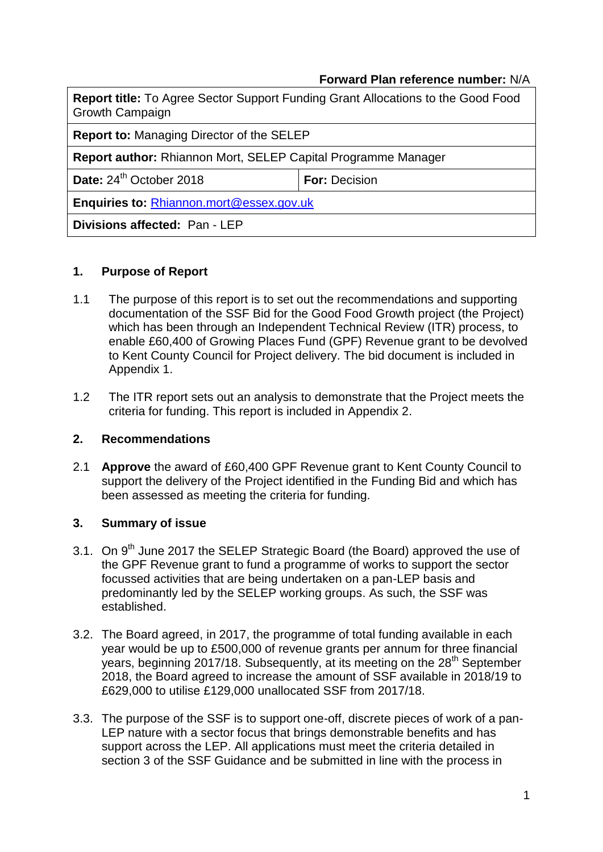### **Forward Plan reference number:** N/A

| <b>Report title:</b> To Agree Sector Support Funding Grant Allocations to the Good Food<br><b>Growth Campaign</b> |                      |  |
|-------------------------------------------------------------------------------------------------------------------|----------------------|--|
| <b>Report to: Managing Director of the SELEP</b>                                                                  |                      |  |
| <b>Report author: Rhiannon Mort, SELEP Capital Programme Manager</b>                                              |                      |  |
| Date: 24 <sup>th</sup> October 2018                                                                               | <b>For: Decision</b> |  |
| Enquiries to: Rhiannon.mort@essex.gov.uk                                                                          |                      |  |
| Divisions affected: Pan - LEP                                                                                     |                      |  |

### **1. Purpose of Report**

- 1.1 The purpose of this report is to set out the recommendations and supporting documentation of the SSF Bid for the Good Food Growth project (the Project) which has been through an Independent Technical Review (ITR) process, to enable £60,400 of Growing Places Fund (GPF) Revenue grant to be devolved to Kent County Council for Project delivery. The bid document is included in Appendix 1.
- 1.2 The ITR report sets out an analysis to demonstrate that the Project meets the criteria for funding. This report is included in Appendix 2.

### **2. Recommendations**

2.1 **Approve** the award of £60,400 GPF Revenue grant to Kent County Council to support the delivery of the Project identified in the Funding Bid and which has been assessed as meeting the criteria for funding.

### **3. Summary of issue**

- 3.1. On 9<sup>th</sup> June 2017 the SELEP Strategic Board (the Board) approved the use of the GPF Revenue grant to fund a programme of works to support the sector focussed activities that are being undertaken on a pan-LEP basis and predominantly led by the SELEP working groups. As such, the SSF was established.
- 3.2. The Board agreed, in 2017, the programme of total funding available in each year would be up to £500,000 of revenue grants per annum for three financial years, beginning 2017/18. Subsequently, at its meeting on the 28<sup>th</sup> September 2018, the Board agreed to increase the amount of SSF available in 2018/19 to £629,000 to utilise £129,000 unallocated SSF from 2017/18.
- 3.3. The purpose of the SSF is to support one-off, discrete pieces of work of a pan-LEP nature with a sector focus that brings demonstrable benefits and has support across the LEP. All applications must meet the criteria detailed in section 3 of the SSF Guidance and be submitted in line with the process in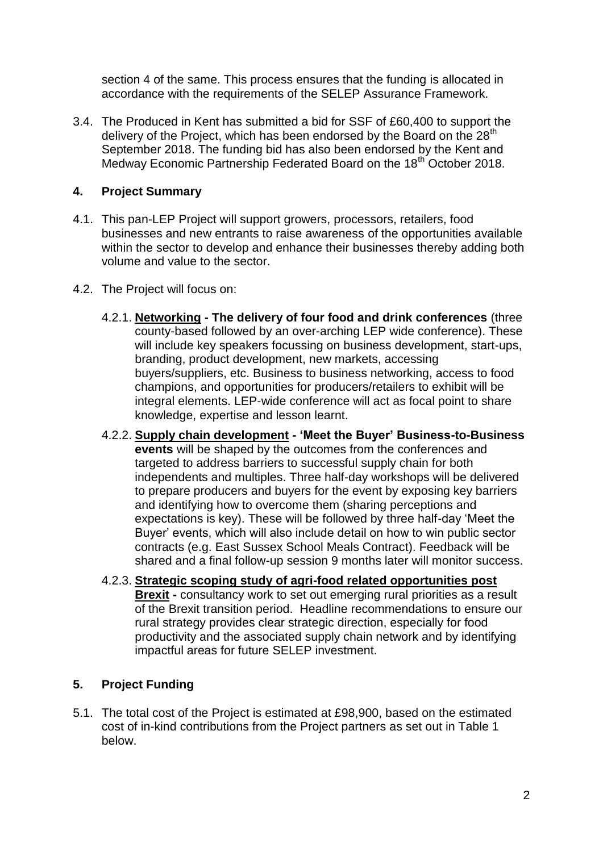section 4 of the same. This process ensures that the funding is allocated in accordance with the requirements of the SELEP Assurance Framework.

3.4. The Produced in Kent has submitted a bid for SSF of £60,400 to support the delivery of the Project, which has been endorsed by the Board on the  $28<sup>th</sup>$ September 2018. The funding bid has also been endorsed by the Kent and Medway Economic Partnership Federated Board on the 18<sup>th</sup> October 2018.

# **4. Project Summary**

- 4.1. This pan-LEP Project will support growers, processors, retailers, food businesses and new entrants to raise awareness of the opportunities available within the sector to develop and enhance their businesses thereby adding both volume and value to the sector.
- 4.2. The Project will focus on:
	- 4.2.1. **Networking - The delivery of four food and drink conferences** (three county-based followed by an over-arching LEP wide conference). These will include key speakers focussing on business development, start-ups, branding, product development, new markets, accessing buyers/suppliers, etc. Business to business networking, access to food champions, and opportunities for producers/retailers to exhibit will be integral elements. LEP-wide conference will act as focal point to share knowledge, expertise and lesson learnt.
	- 4.2.2. **Supply chain development - 'Meet the Buyer' Business-to-Business events** will be shaped by the outcomes from the conferences and targeted to address barriers to successful supply chain for both independents and multiples. Three half-day workshops will be delivered to prepare producers and buyers for the event by exposing key barriers and identifying how to overcome them (sharing perceptions and expectations is key). These will be followed by three half-day 'Meet the Buyer' events, which will also include detail on how to win public sector contracts (e.g. East Sussex School Meals Contract). Feedback will be shared and a final follow-up session 9 months later will monitor success.
	- 4.2.3. **Strategic scoping study of agri-food related opportunities post Brexit -** consultancy work to set out emerging rural priorities as a result of the Brexit transition period. Headline recommendations to ensure our rural strategy provides clear strategic direction, especially for food productivity and the associated supply chain network and by identifying impactful areas for future SELEP investment.

## **5. Project Funding**

5.1. The total cost of the Project is estimated at £98,900, based on the estimated cost of in-kind contributions from the Project partners as set out in Table 1 below.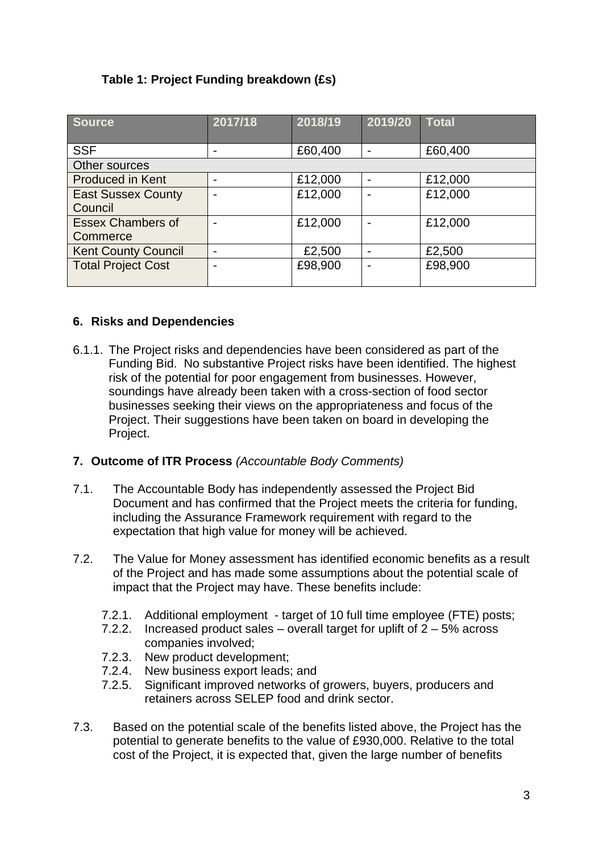# **Table 1: Project Funding breakdown (£s)**

| <b>Source</b>              | 2017/18 | 2018/19 | 2019/20        | <b>Total</b> |
|----------------------------|---------|---------|----------------|--------------|
|                            |         |         |                |              |
| <b>SSF</b>                 | ۰       | £60,400 | $\blacksquare$ | £60,400      |
| Other sources              |         |         |                |              |
| <b>Produced in Kent</b>    |         | £12,000 |                | £12,000      |
| <b>East Sussex County</b>  |         | £12,000 |                | £12,000      |
| Council                    |         |         |                |              |
| <b>Essex Chambers of</b>   |         | £12,000 |                | £12,000      |
| Commerce                   |         |         |                |              |
| <b>Kent County Council</b> | ۰       | £2,500  |                | £2,500       |
| <b>Total Project Cost</b>  |         | £98,900 |                | £98,900      |
|                            |         |         |                |              |

## **6. Risks and Dependencies**

6.1.1. The Project risks and dependencies have been considered as part of the Funding Bid. No substantive Project risks have been identified. The highest risk of the potential for poor engagement from businesses. However, soundings have already been taken with a cross-section of food sector businesses seeking their views on the appropriateness and focus of the Project. Their suggestions have been taken on board in developing the Project.

## **7. Outcome of ITR Process** *(Accountable Body Comments)*

- 7.1. The Accountable Body has independently assessed the Project Bid Document and has confirmed that the Project meets the criteria for funding, including the Assurance Framework requirement with regard to the expectation that high value for money will be achieved.
- 7.2. The Value for Money assessment has identified economic benefits as a result of the Project and has made some assumptions about the potential scale of impact that the Project may have. These benefits include:
	- 7.2.1. Additional employment target of 10 full time employee (FTE) posts;
	- 7.2.2. Increased product sales overall target for uplift of 2 5% across companies involved;
	- 7.2.3. New product development;
	- 7.2.4. New business export leads; and
	- 7.2.5. Significant improved networks of growers, buyers, producers and retainers across SELEP food and drink sector.
- 7.3. Based on the potential scale of the benefits listed above, the Project has the potential to generate benefits to the value of £930,000. Relative to the total cost of the Project, it is expected that, given the large number of benefits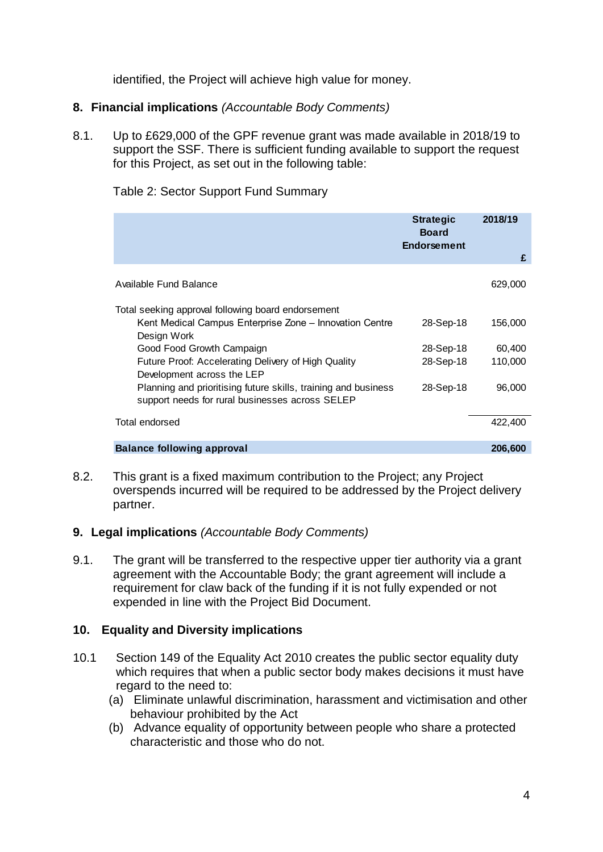identified, the Project will achieve high value for money.

### **8. Financial implications** *(Accountable Body Comments)*

8.1. Up to £629,000 of the GPF revenue grant was made available in 2018/19 to support the SSF. There is sufficient funding available to support the request for this Project, as set out in the following table:

|  | Table 2: Sector Support Fund Summary |
|--|--------------------------------------|
|--|--------------------------------------|

|                                                                                                                              | <b>Strategic</b><br><b>Board</b><br><b>Endorsement</b> | 2018/19<br>£      |
|------------------------------------------------------------------------------------------------------------------------------|--------------------------------------------------------|-------------------|
| Available Fund Balance                                                                                                       |                                                        | 629,000           |
| Total seeking approval following board endorsement<br>Kent Medical Campus Enterprise Zone - Innovation Centre<br>Design Work | 28-Sep-18                                              | 156,000           |
| Good Food Growth Campaign<br>Future Proof: Accelerating Delivery of High Quality<br>Development across the LEP               | 28-Sep-18<br>28-Sep-18                                 | 60,400<br>110,000 |
| Planning and prioritising future skills, training and business<br>support needs for rural businesses across SELEP            | 28-Sep-18                                              | 96,000            |
| Total endorsed                                                                                                               |                                                        | 422,400           |
| <b>Balance following approval</b>                                                                                            |                                                        | 206,600           |

8.2. This grant is a fixed maximum contribution to the Project; any Project overspends incurred will be required to be addressed by the Project delivery partner.

### **9. Legal implications** *(Accountable Body Comments)*

9.1. The grant will be transferred to the respective upper tier authority via a grant agreement with the Accountable Body; the grant agreement will include a requirement for claw back of the funding if it is not fully expended or not expended in line with the Project Bid Document.

### **10. Equality and Diversity implications**

- 10.1 Section 149 of the Equality Act 2010 creates the public sector equality duty which requires that when a public sector body makes decisions it must have regard to the need to:
	- (a) Eliminate unlawful discrimination, harassment and victimisation and other behaviour prohibited by the Act
	- (b) Advance equality of opportunity between people who share a protected characteristic and those who do not.